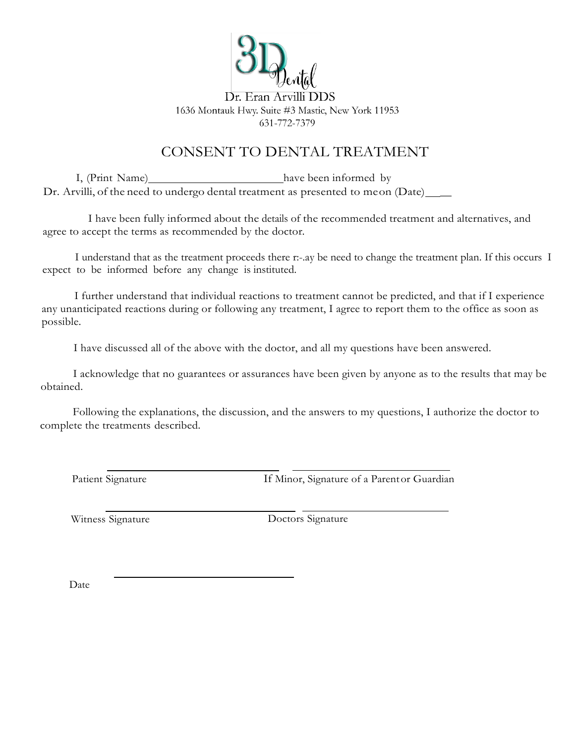

### CONSENT TO DENTAL TREATMENT

I, (Print Name) have been informed by Dr. Arvilli, of the need to undergo dental treatment as presented to meon (Date)

I have been fully informed about the details of the recommended treatment and alternatives, and agree to accept the terms as recommended by the doctor.

I understand that as the treatment proceeds there r:-.ay be need to change the treatment plan. If this occurs I expect to be informed before any change is instituted.

I further understand that individual reactions to treatment cannot be predicted, and that if I experience any unanticipated reactions during or following any treatment, I agree to report them to the office as soon as possible.

I have discussed all of the above with the doctor, and all my questions have been answered.

I acknowledge that no guarantees or assurances have been given by anyone as to the results that may be obtained.

Following the explanations, the discussion, and the answers to my questions, I authorize the doctor to complete the treatments described.

Patient Signature If Minor, Signature of a Parent or Guardian

Witness Signature Doctors Signature

Date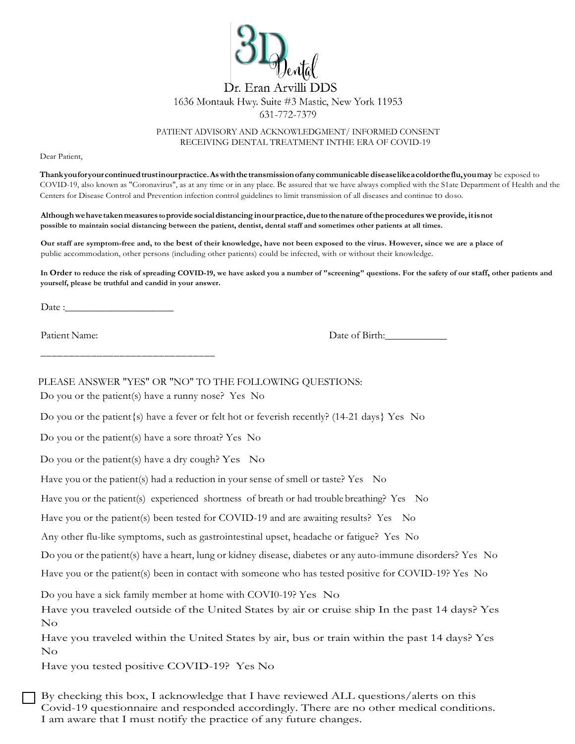

PATIENT ADVISORY AND ACKNOWLEDGMENT/ INFORMED CONSENT RECEIVING DENTAL TREATMENT INTHE ERA OF COVID-19

Dear Patient,

**Thankyouforyourcontinuedtrustinourpractice.Aswiththetransmissionofanycommunicable diseaselikeacoldortheflu,youmay** be exposed to COVID-19, also known as "Coronavirus", as at any time or in any place. Be assured that we have always complied with the S1ate Department of Health and the Centers for Disease Control and Prevention infection control guidelines to limit transmission of all diseases and continue to doso.

**Althoughwehavetakenmeasures toprovide socialdistancing inourpractice,duetothenature oftheprocedureswe provide, itisnot possible to maintain social distancing between the patient, dentist, dental staff and sometimes other patients at all times.**

**Our staff are symptom-free and, to the best of their knowledge, have not been exposed to the virus. However, since we are a place of** public accommodation, other persons (including other patients) could be infected, with or without their knowledge.

**In Order to reduce the risk of spreading COVID-19, we have asked you a number of "screening" questions. For the safety of our staff, other patients and yourself, please be truthful and candid in your answer.** 

\_\_\_\_\_\_\_\_\_\_\_\_\_\_\_\_\_\_\_\_\_\_\_\_\_\_\_\_\_\_\_

Patient Name:

Date of Birth:

PLEASE ANSWER "YES" OR "NO" TO THE FOLLOWING OUESTIONS:

Do you or the patient(s) have a runny nose? Yes No

Do you or the patient {s} have a fever or felt hot or feverish recently? (14-21 days) Yes No

Do you or the patient(s) have a sore throat? Yes No

Do you or the patient(s) have a dry cough? Yes  $\overline{N}$ o

Have you or the patient(s) had a reduction in your sense of smell or taste? Yes No

Have you or the patient(s) experienced shortness of breath or had trouble breathing? Yes No

Have you or the patient(s) been tested for COVID-19 and are awaiting results? Yes No

Any other flu-like symptoms, such as gastrointestinal upset, headache or fatigue? Yes No

Do you or the patient(s) have a heart, lung or kidney disease, diabetes or any auto-immune disorders? Yes No

Have you or the patient(s) been in contact with someone who has tested positive for COVID-19? Yes No

Do you have a sick family member at home with COVI0-19? Yes No

Have you traveled outside of the United States by air or cruise ship In the past 14 days? Yes No

Have you traveled within the United States by air, bus or train within the past 14 days? Yes No

Have you tested positive COVID-19? Yes No

By checking this box, I acknowledge that I have reviewed ALL questions/alerts on this Covid-19 questionnaire and responded accordingly. There are no other medical conditions. I am aware that I must notify the practice of any future changes.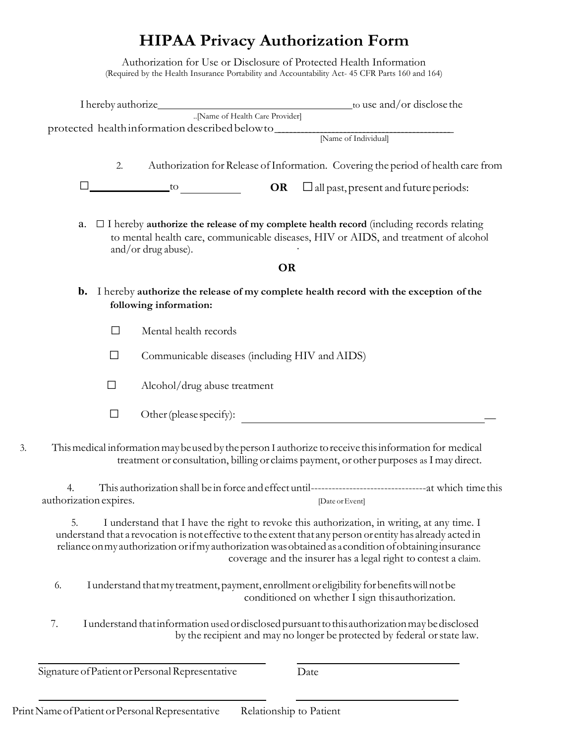## **HIPAA Privacy Authorization Form**

Authorization for Use or Disclosure of Protected Health Information (Required by the Health Insurance Portability and Accountability Act- 45 CFR Parts 160 and 164)

|    |                        |        |                                                 |                                                | protected health information described below to [Name of Individual]                                                                                                                                                                                                                                                                                                                  |
|----|------------------------|--------|-------------------------------------------------|------------------------------------------------|---------------------------------------------------------------------------------------------------------------------------------------------------------------------------------------------------------------------------------------------------------------------------------------------------------------------------------------------------------------------------------------|
|    |                        |        |                                                 |                                                |                                                                                                                                                                                                                                                                                                                                                                                       |
|    |                        | 2.     |                                                 |                                                | Authorization for Release of Information. Covering the period of health care from                                                                                                                                                                                                                                                                                                     |
|    |                        |        |                                                 |                                                | $\overline{\text{OR}}$ $\Box$ all past, present and future periods:                                                                                                                                                                                                                                                                                                                   |
|    | a.                     |        | and/or drug abuse).                             |                                                | $\Box$ I hereby authorize the release of my complete health record (including records relating<br>to mental health care, communicable diseases, HIV or AIDS, and treatment of alcohol                                                                                                                                                                                                 |
|    |                        |        |                                                 | <b>OR</b>                                      |                                                                                                                                                                                                                                                                                                                                                                                       |
|    | $\mathbf{b}$ .         |        | following information:                          |                                                | I hereby authorize the release of my complete health record with the exception of the                                                                                                                                                                                                                                                                                                 |
|    |                        | $\Box$ | Mental health records                           |                                                |                                                                                                                                                                                                                                                                                                                                                                                       |
|    |                        | $\Box$ |                                                 | Communicable diseases (including HIV and AIDS) |                                                                                                                                                                                                                                                                                                                                                                                       |
|    |                        | $\Box$ | Alcohol/drug abuse treatment                    |                                                |                                                                                                                                                                                                                                                                                                                                                                                       |
|    |                        | $\Box$ |                                                 |                                                | Other (please specify):                                                                                                                                                                                                                                                                                                                                                               |
|    |                        |        |                                                 |                                                | This medical information may be used by the person I authorize to receive this information for medical<br>treatment or consultation, billing or claims payment, or other purposes as I may direct.                                                                                                                                                                                    |
| 4. | authorization expires. |        |                                                 |                                                | [Date or Event]                                                                                                                                                                                                                                                                                                                                                                       |
|    | 5.                     |        |                                                 |                                                | I understand that I have the right to revoke this authorization, in writing, at any time. I<br>understand that a revocation is not effective to the extent that any person or entity has already acted in<br>reliance on my authorization or if my authorization was obtained as a condition of obtaining insurance<br>coverage and the insurer has a legal right to contest a claim. |
| 6. |                        |        |                                                 |                                                | I understand that my treatment, payment, enrollment or eligibility for benefits will not be<br>conditioned on whether I sign this authorization.                                                                                                                                                                                                                                      |
| 7. |                        |        |                                                 |                                                | I understand that information used or disclosed pursuant to this authorization may be disclosed<br>by the recipient and may no longer be protected by federal or state law.                                                                                                                                                                                                           |
|    |                        |        | Signature of Patient or Personal Representative |                                                | Date                                                                                                                                                                                                                                                                                                                                                                                  |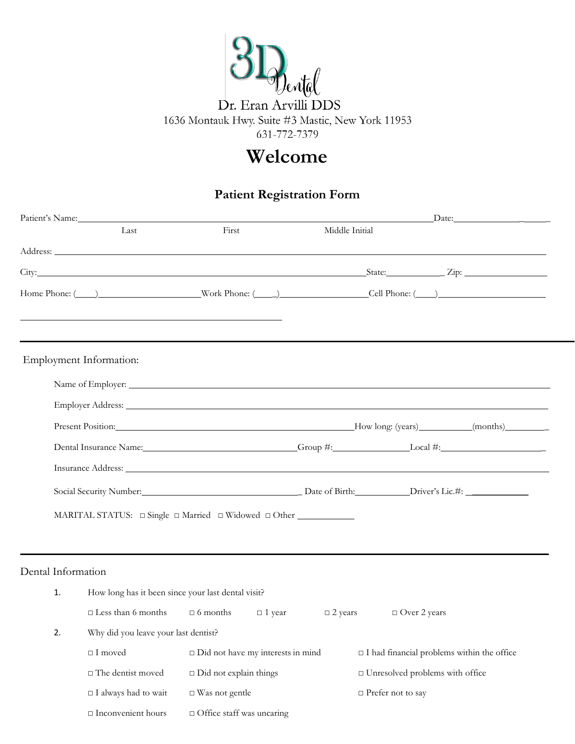

## **Welcome**

### **Patient Registration Form**

|                         | Patient's Name:                                                                                                                                                                    |                                          |               |                |                                                   | $\frac{1}{2}$ Date:                                                                                                                                                                                                            |
|-------------------------|------------------------------------------------------------------------------------------------------------------------------------------------------------------------------------|------------------------------------------|---------------|----------------|---------------------------------------------------|--------------------------------------------------------------------------------------------------------------------------------------------------------------------------------------------------------------------------------|
|                         | Last                                                                                                                                                                               | First                                    |               | Middle Initial |                                                   |                                                                                                                                                                                                                                |
|                         | Address:                                                                                                                                                                           |                                          |               |                |                                                   |                                                                                                                                                                                                                                |
|                         |                                                                                                                                                                                    |                                          |               |                |                                                   |                                                                                                                                                                                                                                |
|                         |                                                                                                                                                                                    |                                          |               |                |                                                   | Home Phone: (Call Phone: (Call Phone: (Call Phone: (Call Phone: (Call Phone: (Call Phone: (Call Phone: (Call Phone: (Call Phone: (Call Phone: (Call Phone: (Call Phone: (Call Phone: (Call Phone: (Call Phone: (Call Phone: (C |
|                         | the contract of the contract of the contract of the contract of the contract of the contract of the contract of                                                                    |                                          |               |                |                                                   |                                                                                                                                                                                                                                |
| Employment Information: |                                                                                                                                                                                    |                                          |               |                |                                                   |                                                                                                                                                                                                                                |
|                         | Name of Employer:<br>Same of Employer: Same of Employer: Same of Employer: Same of Employer: Same of Employer: Same of Employer: Same of Employer: Same of Employer: $\frac{1}{2}$ |                                          |               |                |                                                   |                                                                                                                                                                                                                                |
|                         |                                                                                                                                                                                    |                                          |               |                |                                                   |                                                                                                                                                                                                                                |
|                         |                                                                                                                                                                                    |                                          |               |                |                                                   | Present Position: (present Position: (months) (months) (months) (months) (months) (months) (months) (months) (months) (months) (months) (months) (months) (months) (months) (months) (months) (months) (months) (months) (mont |
|                         |                                                                                                                                                                                    |                                          |               |                |                                                   | Dental Insurance Name: Croup #: Comp #: Local #: Local #:                                                                                                                                                                      |
|                         |                                                                                                                                                                                    |                                          |               |                |                                                   |                                                                                                                                                                                                                                |
|                         |                                                                                                                                                                                    |                                          |               |                |                                                   |                                                                                                                                                                                                                                |
|                         | MARITAL STATUS: □ Single □ Married □ Widowed □ Other ___________________________                                                                                                   |                                          |               |                |                                                   |                                                                                                                                                                                                                                |
|                         |                                                                                                                                                                                    |                                          |               |                |                                                   |                                                                                                                                                                                                                                |
| Dental Information      |                                                                                                                                                                                    |                                          |               |                |                                                   |                                                                                                                                                                                                                                |
| 1.                      | How long has it been since your last dental visit?                                                                                                                                 |                                          |               |                |                                                   |                                                                                                                                                                                                                                |
|                         | $\square$ Less than 6 months $\square$ 6 months                                                                                                                                    |                                          | $\Box$ 1 year | $\Box$ 2 years | $\Box$ Over 2 years                               |                                                                                                                                                                                                                                |
| 2.                      | Why did you leave your last dentist?                                                                                                                                               |                                          |               |                |                                                   |                                                                                                                                                                                                                                |
|                         | $\Box$<br>I moved                                                                                                                                                                  | $\Box$ Did not have my interests in mind |               |                | $\Box$ I had financial problems within the office |                                                                                                                                                                                                                                |
|                         | $\Box$ The dentist moved                                                                                                                                                           | $\Box$ Did not explain things            |               |                | $\square$ Unresolved problems with office         |                                                                                                                                                                                                                                |
|                         | $\Box$ I always had to wait                                                                                                                                                        | $\Box$ Was not gentle                    |               |                | □ Prefer not to say                               |                                                                                                                                                                                                                                |

□ Inconvenient hours □ Office staff was uncaring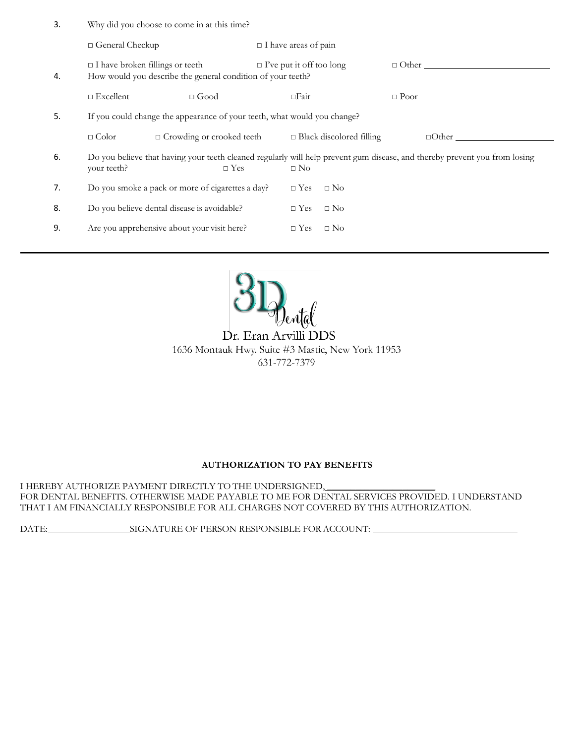| -3. | Why did you choose to come in at this time? |  |
|-----|---------------------------------------------|--|
|-----|---------------------------------------------|--|

|    | □ General Checkup                                                                                     |                                                                                                                                          |                         | $\Box$ I have areas of pain |                                 |             |              |  |  |
|----|-------------------------------------------------------------------------------------------------------|------------------------------------------------------------------------------------------------------------------------------------------|-------------------------|-----------------------------|---------------------------------|-------------|--------------|--|--|
| 4. | $\Box$ I have broken fillings or teeth<br>How would you describe the general condition of your teeth? | $\Box$ I've put it off too long                                                                                                          |                         |                             | $\Box$ Other                    |             |              |  |  |
|    | $\Box$ Excellent                                                                                      | $\Box$ Good                                                                                                                              |                         | $\Box$ Fair                 |                                 | $\Box$ Poor |              |  |  |
| 5. |                                                                                                       | If you could change the appearance of your teeth, what would you change?                                                                 |                         |                             |                                 |             |              |  |  |
|    | $\Box$ Color                                                                                          | $\Box$ Crowding or crooked teeth                                                                                                         |                         |                             | $\Box$ Black discolored filling |             | $\Box$ Other |  |  |
| 6. | your teeth?                                                                                           | Do you believe that having your teeth cleaned regularly will help prevent gum disease, and thereby prevent you from losing<br>$\Box$ Yes |                         | $\square$ No                |                                 |             |              |  |  |
| 7. | Do you smoke a pack or more of cigarettes a day?                                                      |                                                                                                                                          | $\Box$ Yes              | $\square$ No                |                                 |             |              |  |  |
| 8. | Do you believe dental disease is avoidable?                                                           |                                                                                                                                          | $\Box$ Yes              | $\square$ No                |                                 |             |              |  |  |
| 9. | Are you apprehensive about your visit here?                                                           |                                                                                                                                          | $\Box$ No<br>$\Box$ Yes |                             |                                 |             |              |  |  |
|    |                                                                                                       |                                                                                                                                          |                         |                             |                                 |             |              |  |  |

 $\overline{a}$ 



Dr. Eran Arvilli DDS 1636 Montauk Hwy. Suite #3 Mastic, New York 11953 631-772-7379

### **AUTHORIZATION TO PAY BENEFITS**

I HEREBY AUTHORIZE PAYMENT DIRECTLY TO THE UNDERSIGNED, FOR DENTAL BENEFITS. OTHERWISE MADE PAYABLE TO ME FOR DENTAL SERVICES PROVIDED. I UNDERSTAND THAT I AM FINANCIALLY RESPONSIBLE FOR ALL CHARGES NOT COVERED BY THIS AUTHORIZATION.

DATE: SIGNATURE OF PERSON RESPONSIBLE FOR ACCOUNT: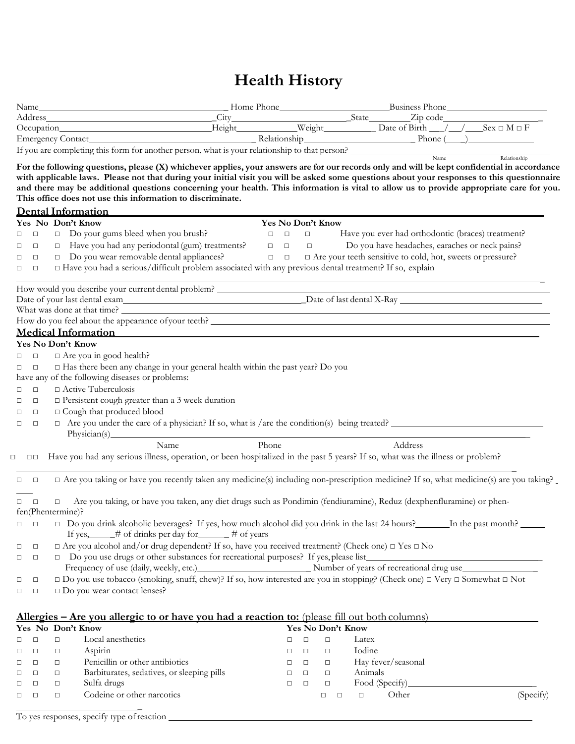# **Health History**

|                                                                                                                                   |                   | Occupation Music Height Weight Date of Birth / / Sex □ M □ F                                                                                                                                                                                                                                                                                                                                                                                                                      |
|-----------------------------------------------------------------------------------------------------------------------------------|-------------------|-----------------------------------------------------------------------------------------------------------------------------------------------------------------------------------------------------------------------------------------------------------------------------------------------------------------------------------------------------------------------------------------------------------------------------------------------------------------------------------|
|                                                                                                                                   |                   |                                                                                                                                                                                                                                                                                                                                                                                                                                                                                   |
|                                                                                                                                   |                   | If you are completing this form for another person, what is your relationship to that person?<br>Name<br>Relationship                                                                                                                                                                                                                                                                                                                                                             |
|                                                                                                                                   |                   | For the following questions, please (X) whichever applies, your answers are for our records only and will be kept confidential in accordance                                                                                                                                                                                                                                                                                                                                      |
|                                                                                                                                   |                   | with applicable laws. Please not that during your initial visit you will be asked some questions about your responses to this questionnaire                                                                                                                                                                                                                                                                                                                                       |
|                                                                                                                                   |                   | and there may be additional questions concerning your health. This information is vital to allow us to provide appropriate care for you.                                                                                                                                                                                                                                                                                                                                          |
| This office does not use this information to discriminate.                                                                        |                   |                                                                                                                                                                                                                                                                                                                                                                                                                                                                                   |
| <b>Dental Information</b>                                                                                                         |                   |                                                                                                                                                                                                                                                                                                                                                                                                                                                                                   |
| Yes No Don't Know                                                                                                                 | Yes No Don't Know |                                                                                                                                                                                                                                                                                                                                                                                                                                                                                   |
| □ Do your gums bleed when you brush?<br>$\Box$<br>0                                                                               | $\Box$<br>$\Box$  | Have you ever had orthodontic (braces) treatment?                                                                                                                                                                                                                                                                                                                                                                                                                                 |
| $\Box$ Have you had any periodontal (gum) treatments? $\Box$ $\Box$<br>$\Box$<br>0                                                |                   | Do you have headaches, earaches or neck pains?<br><b>Contract Contract Contract</b>                                                                                                                                                                                                                                                                                                                                                                                               |
| $\Box$ Do you wear removable dental appliances?<br>$\Box$<br>$\Box$                                                               | $\Box$            | $\Box$ Are your teeth sensitive to cold, hot, sweets or pressure?                                                                                                                                                                                                                                                                                                                                                                                                                 |
| □ Have you had a serious/difficult problem associated with any previous dental treatment? If so, explain<br>$\Box$<br>0           |                   |                                                                                                                                                                                                                                                                                                                                                                                                                                                                                   |
|                                                                                                                                   |                   |                                                                                                                                                                                                                                                                                                                                                                                                                                                                                   |
|                                                                                                                                   |                   |                                                                                                                                                                                                                                                                                                                                                                                                                                                                                   |
|                                                                                                                                   |                   |                                                                                                                                                                                                                                                                                                                                                                                                                                                                                   |
|                                                                                                                                   |                   | How do you feel about the appearance of your teeth?<br>The matter of the set of your teeth?                                                                                                                                                                                                                                                                                                                                                                                       |
|                                                                                                                                   |                   | <b>Medical Information Medical Information</b>                                                                                                                                                                                                                                                                                                                                                                                                                                    |
|                                                                                                                                   |                   |                                                                                                                                                                                                                                                                                                                                                                                                                                                                                   |
| Yes No Don't Know                                                                                                                 |                   |                                                                                                                                                                                                                                                                                                                                                                                                                                                                                   |
| $\Box$ Are you in good health?<br>$\Box$<br>$\Box$                                                                                |                   |                                                                                                                                                                                                                                                                                                                                                                                                                                                                                   |
| $\Box$ Has there been any change in your general health within the past year? Do you<br>$\Box$<br>$\Box$                          |                   |                                                                                                                                                                                                                                                                                                                                                                                                                                                                                   |
| have any of the following diseases or problems:                                                                                   |                   |                                                                                                                                                                                                                                                                                                                                                                                                                                                                                   |
| $\Box$ Active Tuberculosis<br>$\Box$<br>$\Box$                                                                                    |                   |                                                                                                                                                                                                                                                                                                                                                                                                                                                                                   |
| $\square$ Persistent cough greater than a 3 week duration<br>$\Box$<br>$\Box$                                                     |                   |                                                                                                                                                                                                                                                                                                                                                                                                                                                                                   |
| <sup><math>\Box</math></sup> Cough that produced blood<br>$\Box$<br>□                                                             |                   |                                                                                                                                                                                                                                                                                                                                                                                                                                                                                   |
| $\Box$<br>$\Box$<br>Physician(s) Physician(s)                                                                                     |                   | $\Box$ Are you under the care of a physician? If so, what is /are the condition(s) being treated?                                                                                                                                                                                                                                                                                                                                                                                 |
| Name                                                                                                                              | Phone             | Address                                                                                                                                                                                                                                                                                                                                                                                                                                                                           |
|                                                                                                                                   |                   | Have you had any serious illness, operation, or been hospitalized in the past 5 years? If so, what was the illness or problem?                                                                                                                                                                                                                                                                                                                                                    |
| $\square$<br>$\square$<br>□                                                                                                       |                   |                                                                                                                                                                                                                                                                                                                                                                                                                                                                                   |
| $\Box$<br>$\Box$                                                                                                                  |                   | $\Box$ Are you taking or have you recently taken any medicine(s) including non-prescription medicine? If so, what medicine(s) are you taking?                                                                                                                                                                                                                                                                                                                                     |
|                                                                                                                                   |                   |                                                                                                                                                                                                                                                                                                                                                                                                                                                                                   |
| $\Box$<br>$\Box$<br>$\Box$                                                                                                        |                   | Are you taking, or have you taken, any diet drugs such as Pondimin (fendiuramine), Reduz (dexphenfluramine) or phen-                                                                                                                                                                                                                                                                                                                                                              |
| fen(Phentermine)?                                                                                                                 |                   |                                                                                                                                                                                                                                                                                                                                                                                                                                                                                   |
| $\Box$<br>$\Box$                                                                                                                  |                   | $\Box$ Do you drink alcoholic beverages? If yes, how much alcohol did you drink in the last 24 hours? In the past month?                                                                                                                                                                                                                                                                                                                                                          |
| If yes, $\qquad$ # of drinks per day for $\qquad$ # of years                                                                      |                   |                                                                                                                                                                                                                                                                                                                                                                                                                                                                                   |
| $\Box$ Are you alcohol and/or drug dependent? If so, have you received treatment? (Check one) $\Box$ Yes $\Box$ No<br>$\Box$<br>□ |                   |                                                                                                                                                                                                                                                                                                                                                                                                                                                                                   |
| $\Box$<br>$\Box$                                                                                                                  |                   |                                                                                                                                                                                                                                                                                                                                                                                                                                                                                   |
|                                                                                                                                   |                   |                                                                                                                                                                                                                                                                                                                                                                                                                                                                                   |
| $\Box$<br>□                                                                                                                       |                   | $\label{eq:1} \begin{tabular}{ll} $\Box$ & Do you use drugs or other substances for recreational purposes? If yes, please list \end{tabular} \begin{tabular}{ll} \rule{0pt}{2mm} \rule{0pt}{2mm} \rule{0pt}{2mm} \rule{0pt}{2mm} \rule{0pt}{2mm} \rule{0pt}{2mm} \rule{0pt}{2mm} \rule{0pt}{2mm} \rule{0pt}{2mm} \rule{0pt}{2mm} \rule{0pt}{2mm} \rule{0pt}{2mm} \rule{0pt}{2mm} \rule{0pt}{2mm} \rule{0pt}{2mm} \rule{0pt}{2mm} \rule{0pt}{2mm} \rule{0pt}{2mm} \rule{0pt}{2mm}$ |
| □ Do you wear contact lenses?<br>$\Box$<br>$\Box$                                                                                 |                   |                                                                                                                                                                                                                                                                                                                                                                                                                                                                                   |
|                                                                                                                                   |                   |                                                                                                                                                                                                                                                                                                                                                                                                                                                                                   |
|                                                                                                                                   |                   |                                                                                                                                                                                                                                                                                                                                                                                                                                                                                   |
| Allergies – Are you allergic to or have you had a reaction to: (please fill out both columns)<br>Yes No Don't Know                |                   | Yes No Don't Know                                                                                                                                                                                                                                                                                                                                                                                                                                                                 |
| Local anesthetics<br>$\Box$                                                                                                       |                   |                                                                                                                                                                                                                                                                                                                                                                                                                                                                                   |
| $\Box$<br>$\Box$                                                                                                                  | $\Box$<br>$\Box$  | $\Box$<br>Latex                                                                                                                                                                                                                                                                                                                                                                                                                                                                   |

| П. | $\Box$ | П      | Local anesthetics                          | $\Box$ |        | Latex              |           |
|----|--------|--------|--------------------------------------------|--------|--------|--------------------|-----------|
|    |        | $\Box$ | Aspirin                                    |        |        | Iodine             |           |
|    |        |        | Penicillin or other antibiotics            | $\Box$ | $\Box$ | Hay fever/seasonal |           |
|    | □      | $\Box$ | Barbiturates, sedatives, or sleeping pills |        | $\Box$ | Animals            |           |
|    | □      | $\Box$ | Sulfa drugs                                | $\Box$ |        | Food (Specify)     |           |
|    |        |        | Codeine or other narcotics                 |        |        | Other              | (Specify) |
|    |        |        |                                            |        |        |                    |           |

To yes responses, specify type ofreaction